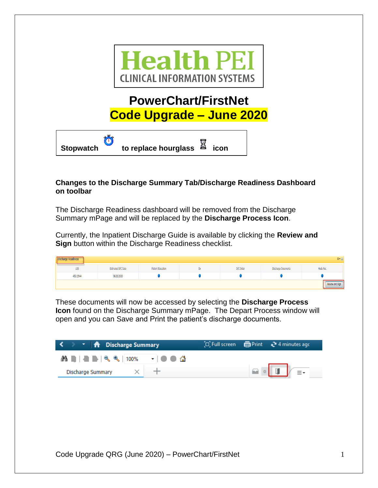

# **PowerChart/FirstNet Code Upgrade – June 2020**



### **Changes to the Discharge Summary Tab/Discharge Readiness Dashboard on toolbar**

The Discharge Readiness dashboard will be removed from the Discharge Summary mPage and will be replaced by the **Discharge Process Icon**.

Currently, the Inpatient Discharge Guide is available by clicking the **Review and Sign** button within the Discharge Readiness checklist.

| <b>Discharge Readiness</b> |                    |                   |   |           |                     | $\equiv$ 6      |
|----------------------------|--------------------|-------------------|---|-----------|---------------------|-----------------|
| LOS                        | Estimated D/C Date | Patient Education | w | D/C Order | Discharge Documents | Meds Rec        |
| 452:15:44                  | 09/20/2020         |                   |   |           |                     |                 |
|                            |                    |                   |   |           |                     | Review and Sign |

These documents will now be accessed by selecting the **Discharge Process Icon** found on the Discharge Summary mPage. The Depart Process window will open and you can Save and Print the patient's discharge documents.

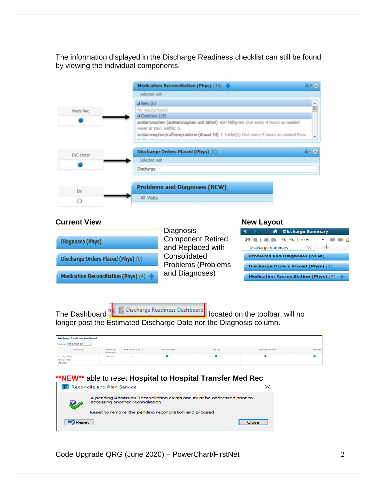The information displayed in the Discharge Readiness checklist can still be found by viewing the individual components.

|           | Medication Reconciliation (Phys) (15)                                                                              |          |
|-----------|--------------------------------------------------------------------------------------------------------------------|----------|
|           | Selected visit                                                                                                     |          |
|           | $\triangle$ New (0)                                                                                                | ۰        |
| Meds Rec  | No results found                                                                                                   | $\equiv$ |
|           | 4 Continue (15)                                                                                                    |          |
|           | acetaminophen (acetaminophen oral tablet) 650 Milligram Oral every 4 hours as needed<br>Fever or Pain, Refills: 0. |          |
|           | acetaminophen/caffeine/codeine (Atasol 30) 1 Tablet(s) Oral every 4 hours as needed Pain.                          |          |
|           | $99 - 0.01 - 0.0$                                                                                                  |          |
|           | Discharge Orders Placed (Phys) (1)                                                                                 |          |
| D/C Order | Selected visit                                                                                                     |          |
|           | Discharge                                                                                                          |          |
|           |                                                                                                                    |          |
| <b>Dx</b> | <b>Problems and Diagnoses (NEW)</b><br>All Visits                                                                  |          |

### **Current View <b>New Layout New Layout**

|                                                            | Diagnosis                |                 |
|------------------------------------------------------------|--------------------------|-----------------|
| <b>Diagnoses (Phys)</b>                                    | <b>Component Retired</b> |                 |
|                                                            | and Replaced with        | Discharge       |
| Discharge Orders Placed (Phys) (0)                         | Consolidated             | <b>Problem</b>  |
|                                                            | Problems (Problems       | <b>Dischard</b> |
| <b>Medication Reconciliation (Phys)</b> (4) $-\frac{1}{2}$ | and Diagnoses)           | <b>Medicati</b> |
|                                                            |                          |                 |

| T   A Discharge Summary                                   |          |        |  |  |  |  |
|-----------------------------------------------------------|----------|--------|--|--|--|--|
| <b>AA B   &amp; B   &lt; &lt; &lt; &lt; &lt; { 100%</b>   |          | $\sim$ |  |  |  |  |
| <b>Discharge Summary</b>                                  | $\times$ |        |  |  |  |  |
| <b>Problems and Diagnoses (NEW)</b>                       |          |        |  |  |  |  |
| Discharge Orders Placed (Phys) (2)                        |          |        |  |  |  |  |
| <b>Medication Reconciliation (Phys)</b> (7) $\rightarrow$ |          |        |  |  |  |  |

|  |  | The Dashboard <b>Part of the Second</b> located on the toolbar, will no |
|--|--|-------------------------------------------------------------------------|
|--|--|-------------------------------------------------------------------------|

longer post the Estimated Discharge Date nor the Diagnosis column.

| <b>Discharge Readiness Dashboard</b>                  |                              |                    |                   |           |                     |          |  |  |
|-------------------------------------------------------|------------------------------|--------------------|-------------------|-----------|---------------------|----------|--|--|
| Patient List: PAND ENDO QEH<br>$\sim$                 |                              |                    |                   |           |                     |          |  |  |
| Patient Name                                          | Length Of Stay<br>(DD:HH:MM) | Estimated D/C Date | Patient Education | D/C Order | Discharge Documents | Meds Rec |  |  |
| <b>ZZTEST, APRIL</b><br>Female 34 Years<br>PAN ENDO/4 | 535:21:14                    | $\sim$             |                   |           |                     |          |  |  |

×.

# **\*\*NEW\*\*** able to reset **Hospital to Hospital Transfer Med Rec**



Code Upgrade QRG (June 2020) – PowerChart/FirstNet 200